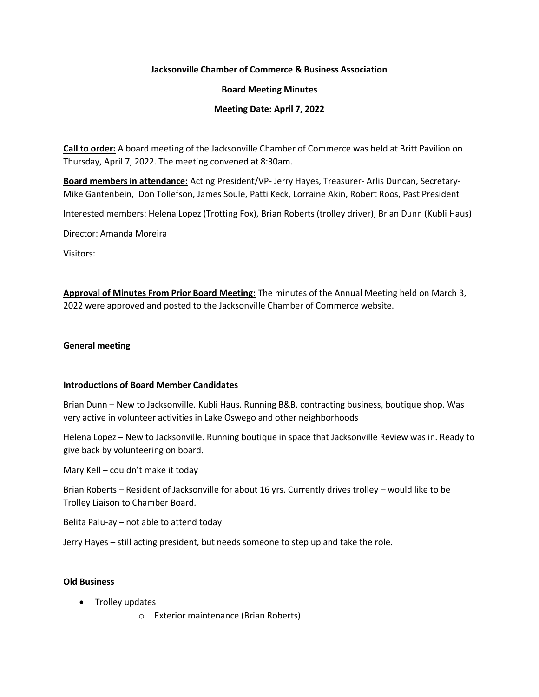### **Jacksonville Chamber of Commerce & Business Association**

#### **Board Meeting Minutes**

### **Meeting Date: April 7, 2022**

**Call to order:** A board meeting of the Jacksonville Chamber of Commerce was held at Britt Pavilion on Thursday, April 7, 2022. The meeting convened at 8:30am.

**Board members in attendance:** Acting President/VP- Jerry Hayes, Treasurer- Arlis Duncan, Secretary-Mike Gantenbein, Don Tollefson, James Soule, Patti Keck, Lorraine Akin, Robert Roos, Past President

Interested members: Helena Lopez (Trotting Fox), Brian Roberts (trolley driver), Brian Dunn (Kubli Haus)

Director: Amanda Moreira

Visitors:

**Approval of Minutes From Prior Board Meeting:** The minutes of the Annual Meeting held on March 3, 2022 were approved and posted to the Jacksonville Chamber of Commerce website.

#### **General meeting**

#### **Introductions of Board Member Candidates**

Brian Dunn – New to Jacksonville. Kubli Haus. Running B&B, contracting business, boutique shop. Was very active in volunteer activities in Lake Oswego and other neighborhoods

Helena Lopez – New to Jacksonville. Running boutique in space that Jacksonville Review was in. Ready to give back by volunteering on board.

Mary Kell – couldn't make it today

Brian Roberts – Resident of Jacksonville for about 16 yrs. Currently drives trolley – would like to be Trolley Liaison to Chamber Board.

Belita Palu-ay – not able to attend today

Jerry Hayes – still acting president, but needs someone to step up and take the role.

# **Old Business**

- Trolley updates
	- o Exterior maintenance (Brian Roberts)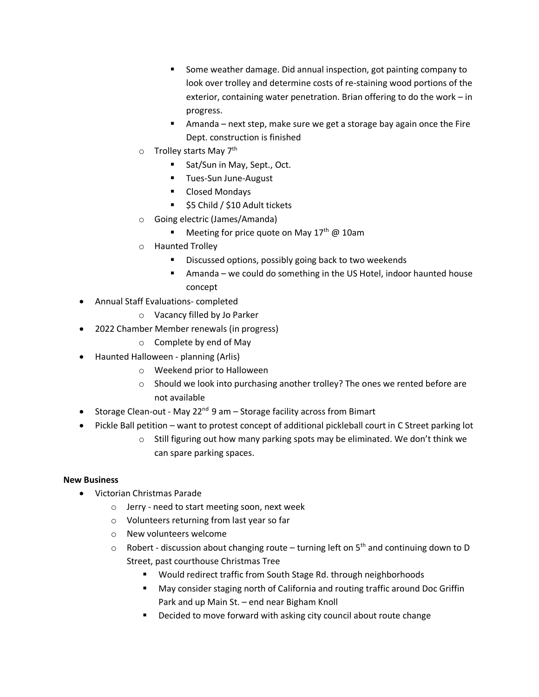- Some weather damage. Did annual inspection, got painting company to look over trolley and determine costs of re-staining wood portions of the exterior, containing water penetration. Brian offering to do the work – in progress.
- Amanda next step, make sure we get a storage bay again once the Fire Dept. construction is finished
- $\circ$  Trolley starts May 7<sup>th</sup>
	- Sat/Sun in May, Sept., Oct.
	- Tues-Sun June-August
	- Closed Mondays
	- \$5 Child / \$10 Adult tickets
- o Going electric (James/Amanda)
	- **■** Meeting for price quote on May  $17<sup>th</sup>$  @ 10am
- o Haunted Trolley
	- Discussed options, possibly going back to two weekends
	- Amanda we could do something in the US Hotel, indoor haunted house concept
- Annual Staff Evaluations- completed
	- o Vacancy filled by Jo Parker
- 2022 Chamber Member renewals (in progress)
	- o Complete by end of May
- Haunted Halloween planning (Arlis)
	- o Weekend prior to Halloween
	- o Should we look into purchasing another trolley? The ones we rented before are not available
- Storage Clean-out May 22<sup>nd</sup> 9 am Storage facility across from Bimart
- Pickle Ball petition want to protest concept of additional pickleball court in C Street parking lot
	- o Still figuring out how many parking spots may be eliminated. We don't think we can spare parking spaces.

# **New Business**

- Victorian Christmas Parade
	- o Jerry need to start meeting soon, next week
	- o Volunteers returning from last year so far
	- o New volunteers welcome
	- $\circ$  Robert discussion about changing route turning left on 5<sup>th</sup> and continuing down to D Street, past courthouse Christmas Tree
		- Would redirect traffic from South Stage Rd. through neighborhoods
		- May consider staging north of California and routing traffic around Doc Griffin Park and up Main St. – end near Bigham Knoll
		- Decided to move forward with asking city council about route change